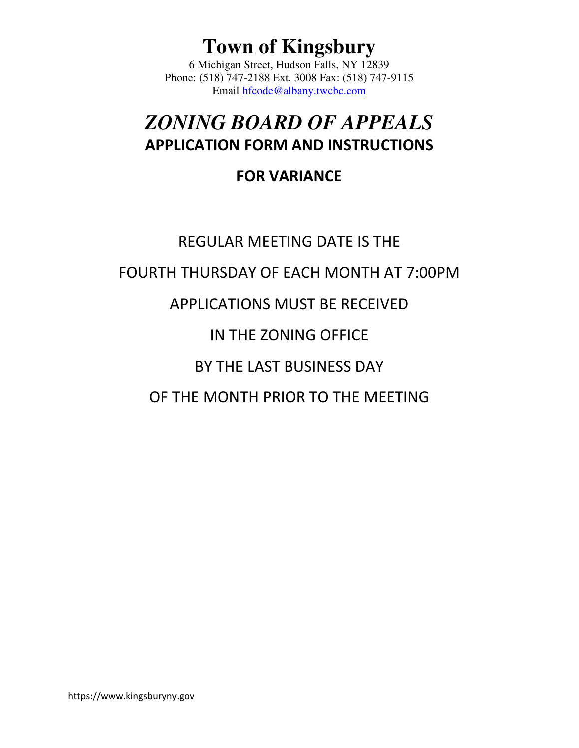## **Town of Kingsbury**

6 Michigan Street, Hudson Falls, NY 12839 Phone: (518) 747-2188 Ext. 3008 Fax: (518) 747-9115 Email hfcode@albany.twcbc.com

## *ZONING BOARD OF APPEALS* APPLICATION FORM AND INSTRUCTIONS

### FOR VARIANCE

# REGULAR MEETING DATE IS THE FOURTH THURSDAY OF EACH MONTH AT 7:00PM APPLICATIONS MUST BE RECEIVED IN THE ZONING OFFICE BY THE LAST BUSINESS DAY OF THE MONTH PRIOR TO THE MEETING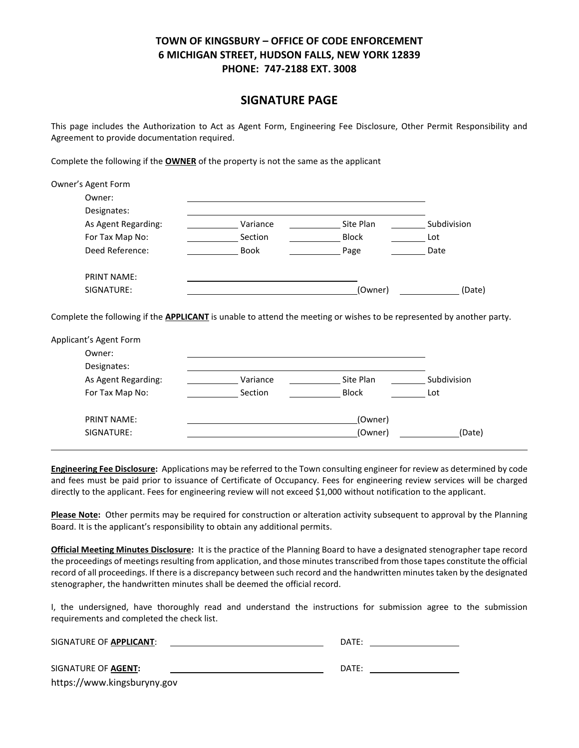#### SIGNATURE PAGE

This page includes the Authorization to Act as Agent Form, Engineering Fee Disclosure, Other Permit Responsibility and Agreement to provide documentation required.

Complete the following if the **OWNER** of the property is not the same as the applicant

| Owner's Agent Form                                                                                                           |             |              |             |
|------------------------------------------------------------------------------------------------------------------------------|-------------|--------------|-------------|
| Owner:                                                                                                                       |             |              |             |
| Designates:                                                                                                                  |             |              |             |
| As Agent Regarding:                                                                                                          | Variance    | Site Plan    | Subdivision |
| For Tax Map No:                                                                                                              | Section     | <b>Block</b> | Lot         |
| Deed Reference:                                                                                                              | <b>Book</b> | Page         | Date        |
| <b>PRINT NAME:</b>                                                                                                           |             |              |             |
| SIGNATURE:                                                                                                                   |             | (Owner)      | (Date)      |
| Complete the following if the <b>APPLICANT</b> is unable to attend the meeting or wishes to be represented by another party. |             |              |             |
| Applicant's Agent Form                                                                                                       |             |              |             |
| Owner:                                                                                                                       |             |              |             |
| Designates:                                                                                                                  |             |              |             |
| As Agent Regarding:                                                                                                          | Variance    | Site Plan    | Subdivision |
| For Tax Map No:                                                                                                              | Section     | <b>Block</b> | Lot         |

Engineering Fee Disclosure: Applications may be referred to the Town consulting engineer for review as determined by code and fees must be paid prior to issuance of Certificate of Occupancy. Fees for engineering review services will be charged directly to the applicant. Fees for engineering review will not exceed \$1,000 without notification to the applicant.

SIGNATURE: (Owner) (Date)

PRINT NAME: (Owner)

Please Note: Other permits may be required for construction or alteration activity subsequent to approval by the Planning Board. It is the applicant's responsibility to obtain any additional permits.

Official Meeting Minutes Disclosure: It is the practice of the Planning Board to have a designated stenographer tape record the proceedings of meetings resulting from application, and those minutes transcribed from those tapes constitute the official record of all proceedings. If there is a discrepancy between such record and the handwritten minutes taken by the designated stenographer, the handwritten minutes shall be deemed the official record.

I, the undersigned, have thoroughly read and understand the instructions for submission agree to the submission requirements and completed the check list.

| SIGNATURE OF APPLICANT:     | DATE: |
|-----------------------------|-------|
| SIGNATURE OF <b>AGENT:</b>  | DATE: |
| https://www.kingsburyny.gov |       |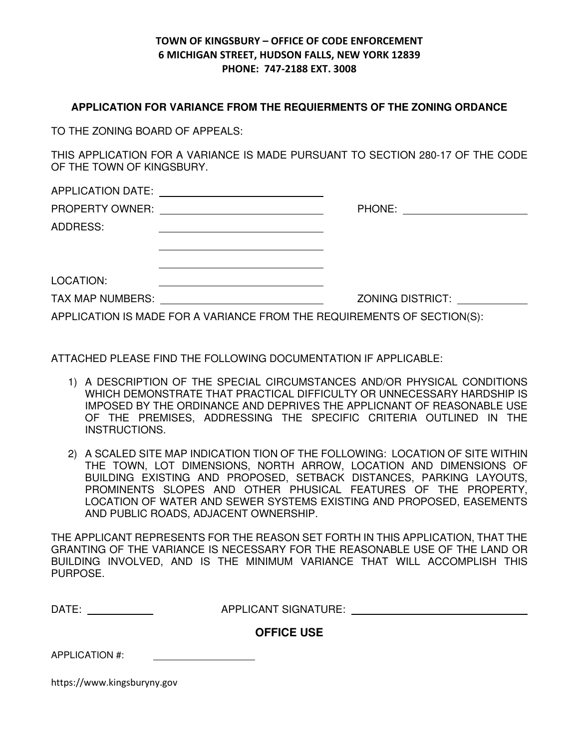#### **APPLICATION FOR VARIANCE FROM THE REQUIERMENTS OF THE ZONING ORDANCE**

TO THE ZONING BOARD OF APPEALS:

THIS APPLICATION FOR A VARIANCE IS MADE PURSUANT TO SECTION 280-17 OF THE CODE OF THE TOWN OF KINGSBURY.

APPLICATION DATE: PROPERTY OWNER: PHONE:

ADDRESS:

| LOCATION: |  |  |
|-----------|--|--|
|           |  |  |

TAX MAP NUMBERS: ZONING DISTRICT:

APPLICATION IS MADE FOR A VARIANCE FROM THE REQUIREMENTS OF SECTION(S):

ATTACHED PLEASE FIND THE FOLLOWING DOCUMENTATION IF APPLICABLE:

- 1) A DESCRIPTION OF THE SPECIAL CIRCUMSTANCES AND/OR PHYSICAL CONDITIONS WHICH DEMONSTRATE THAT PRACTICAL DIFFICULTY OR UNNECESSARY HARDSHIP IS IMPOSED BY THE ORDINANCE AND DEPRIVES THE APPLICNANT OF REASONABLE USE OF THE PREMISES, ADDRESSING THE SPECIFIC CRITERIA OUTLINED IN THE INSTRUCTIONS.
- 2) A SCALED SITE MAP INDICATION TION OF THE FOLLOWING: LOCATION OF SITE WITHIN THE TOWN, LOT DIMENSIONS, NORTH ARROW, LOCATION AND DIMENSIONS OF BUILDING EXISTING AND PROPOSED, SETBACK DISTANCES, PARKING LAYOUTS, PROMINENTS SLOPES AND OTHER PHUSICAL FEATURES OF THE PROPERTY, LOCATION OF WATER AND SEWER SYSTEMS EXISTING AND PROPOSED, EASEMENTS AND PUBLIC ROADS, ADJACENT OWNERSHIP.

THE APPLICANT REPRESENTS FOR THE REASON SET FORTH IN THIS APPLICATION, THAT THE GRANTING OF THE VARIANCE IS NECESSARY FOR THE REASONABLE USE OF THE LAND OR BUILDING INVOLVED, AND IS THE MINIMUM VARIANCE THAT WILL ACCOMPLISH THIS PURPOSE.

| DATE. | <b>APPLICANT SIGNATURE:</b> |  |
|-------|-----------------------------|--|
|       |                             |  |

**OFFICE USE**

APPLICATION #:

https://www.kingsburyny.gov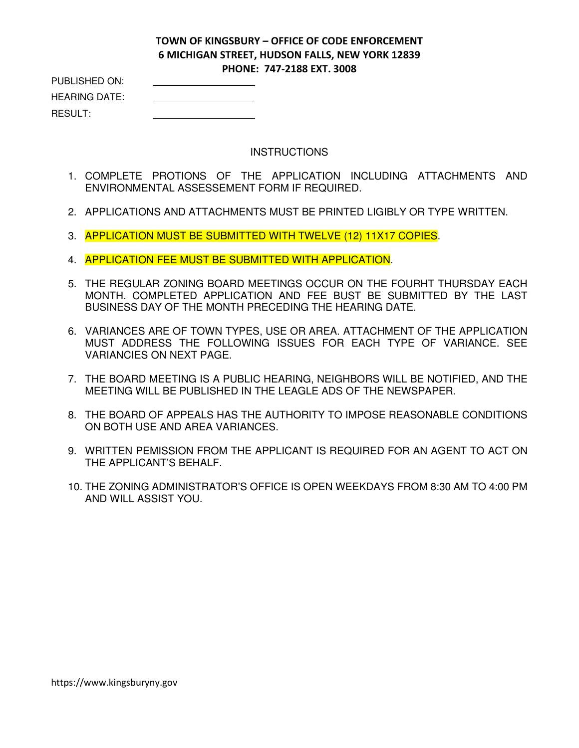| PUBLISHED ON:        |  |
|----------------------|--|
| <b>HEARING DATE:</b> |  |
| RESULT:              |  |

#### **INSTRUCTIONS**

- 1. COMPLETE PROTIONS OF THE APPLICATION INCLUDING ATTACHMENTS AND ENVIRONMENTAL ASSESSEMENT FORM IF REQUIRED.
- 2. APPLICATIONS AND ATTACHMENTS MUST BE PRINTED LIGIBLY OR TYPE WRITTEN.
- 3. APPLICATION MUST BE SUBMITTED WITH TWELVE (12) 11X17 COPIES.
- 4. APPLICATION FEE MUST BE SUBMITTED WITH APPLICATION.
- 5. THE REGULAR ZONING BOARD MEETINGS OCCUR ON THE FOURHT THURSDAY EACH MONTH. COMPLETED APPLICATION AND FEE BUST BE SUBMITTED BY THE LAST BUSINESS DAY OF THE MONTH PRECEDING THE HEARING DATE.
- 6. VARIANCES ARE OF TOWN TYPES, USE OR AREA. ATTACHMENT OF THE APPLICATION MUST ADDRESS THE FOLLOWING ISSUES FOR EACH TYPE OF VARIANCE. SEE VARIANCIES ON NEXT PAGE.
- 7. THE BOARD MEETING IS A PUBLIC HEARING, NEIGHBORS WILL BE NOTIFIED, AND THE MEETING WILL BE PUBLISHED IN THE LEAGLE ADS OF THE NEWSPAPER.
- 8. THE BOARD OF APPEALS HAS THE AUTHORITY TO IMPOSE REASONABLE CONDITIONS ON BOTH USE AND AREA VARIANCES.
- 9. WRITTEN PEMISSION FROM THE APPLICANT IS REQUIRED FOR AN AGENT TO ACT ON THE APPLICANT'S BEHALF.
- 10. THE ZONING ADMINISTRATOR'S OFFICE IS OPEN WEEKDAYS FROM 8:30 AM TO 4:00 PM AND WILL ASSIST YOU.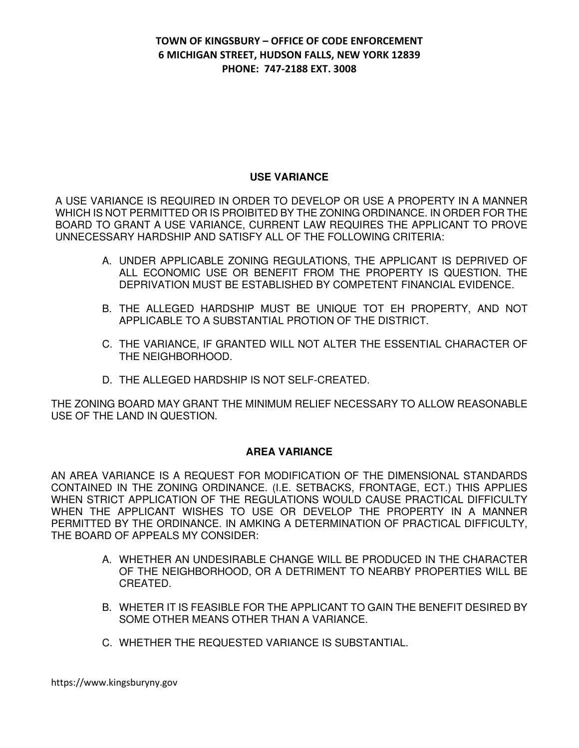#### **USE VARIANCE**

A USE VARIANCE IS REQUIRED IN ORDER TO DEVELOP OR USE A PROPERTY IN A MANNER WHICH IS NOT PERMITTED OR IS PROIBITED BY THE ZONING ORDINANCE. IN ORDER FOR THE BOARD TO GRANT A USE VARIANCE, CURRENT LAW REQUIRES THE APPLICANT TO PROVE UNNECESSARY HARDSHIP AND SATISFY ALL OF THE FOLLOWING CRITERIA:

- A. UNDER APPLICABLE ZONING REGULATIONS, THE APPLICANT IS DEPRIVED OF ALL ECONOMIC USE OR BENEFIT FROM THE PROPERTY IS QUESTION. THE DEPRIVATION MUST BE ESTABLISHED BY COMPETENT FINANCIAL EVIDENCE.
- B. THE ALLEGED HARDSHIP MUST BE UNIQUE TOT EH PROPERTY, AND NOT APPLICABLE TO A SUBSTANTIAL PROTION OF THE DISTRICT.
- C. THE VARIANCE, IF GRANTED WILL NOT ALTER THE ESSENTIAL CHARACTER OF THE NEIGHBORHOOD.
- D. THE ALLEGED HARDSHIP IS NOT SELF-CREATED.

THE ZONING BOARD MAY GRANT THE MINIMUM RELIEF NECESSARY TO ALLOW REASONABLE USE OF THE LAND IN QUESTION.

#### **AREA VARIANCE**

AN AREA VARIANCE IS A REQUEST FOR MODIFICATION OF THE DIMENSIONAL STANDARDS CONTAINED IN THE ZONING ORDINANCE. (I.E. SETBACKS, FRONTAGE, ECT.) THIS APPLIES WHEN STRICT APPLICATION OF THE REGULATIONS WOULD CAUSE PRACTICAL DIFFICULTY WHEN THE APPLICANT WISHES TO USE OR DEVELOP THE PROPERTY IN A MANNER PERMITTED BY THE ORDINANCE. IN AMKING A DETERMINATION OF PRACTICAL DIFFICULTY, THE BOARD OF APPEALS MY CONSIDER:

- A. WHETHER AN UNDESIRABLE CHANGE WILL BE PRODUCED IN THE CHARACTER OF THE NEIGHBORHOOD, OR A DETRIMENT TO NEARBY PROPERTIES WILL BE CREATED.
- B. WHETER IT IS FEASIBLE FOR THE APPLICANT TO GAIN THE BENEFIT DESIRED BY SOME OTHER MEANS OTHER THAN A VARIANCE.
- C. WHETHER THE REQUESTED VARIANCE IS SUBSTANTIAL.

https://www.kingsburyny.gov